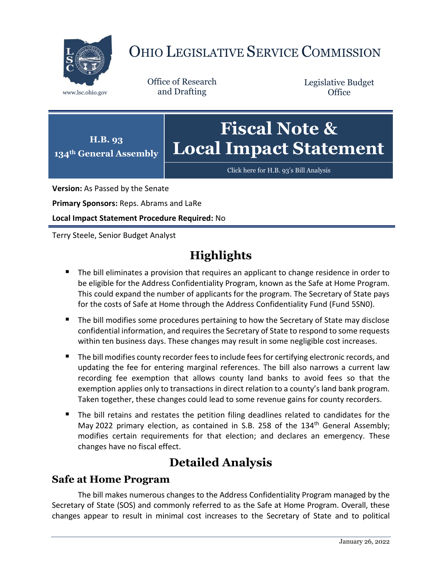

# OHIO LEGISLATIVE SERVICE COMMISSION

Office of Research www.lsc.ohio.gov and Drafting

Legislative Budget **Office** 



[Click here for H.B. 93](https://www.legislature.ohio.gov/legislation/legislation-documents?id=GA134-HB-93)'s Bill Analysis

**Version:** As Passed by the Senate

**Primary Sponsors:** Reps. Abrams and LaRe

**Local Impact Statement Procedure Required:** No

Terry Steele, Senior Budget Analyst

## **Highlights**

- **The bill eliminates a provision that requires an applicant to change residence in order to** be eligible for the Address Confidentiality Program, known as the Safe at Home Program. This could expand the number of applicants for the program. The Secretary of State pays for the costs of Safe at Home through the Address Confidentiality Fund (Fund 5SN0).
- The bill modifies some procedures pertaining to how the Secretary of State may disclose confidential information, and requires the Secretary of State to respond to some requests within ten business days. These changes may result in some negligible cost increases.
- The bill modifies county recorder fees to include fees for certifying electronic records, and updating the fee for entering marginal references. The bill also narrows a current law recording fee exemption that allows county land banks to avoid fees so that the exemption applies only to transactions in direct relation to a county's land bank program. Taken together, these changes could lead to some revenue gains for county recorders.
- The bill retains and restates the petition filing deadlines related to candidates for the May 2022 primary election, as contained in S.B. 258 of the  $134<sup>th</sup>$  General Assembly; modifies certain requirements for that election; and declares an emergency. These changes have no fiscal effect.

### **Detailed Analysis**

#### **Safe at Home Program**

The bill makes numerous changes to the Address Confidentiality Program managed by the Secretary of State (SOS) and commonly referred to as the Safe at Home Program. Overall, these changes appear to result in minimal cost increases to the Secretary of State and to political